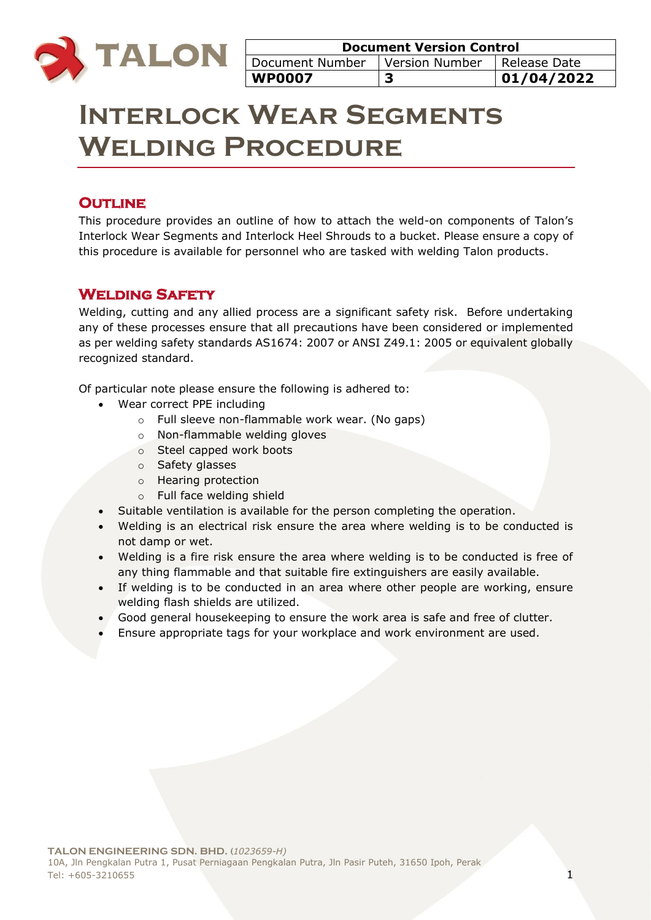

# **Interlock Wear Segments Welding Procedure**

# **OUTLINE**

This procedure provides an outline of how to attach the weld-on components of Talon's Interlock Wear Segments and Interlock Heel Shrouds to a bucket. Please ensure a copy of this procedure is available for personnel who are tasked with welding Talon products.

## **Welding Safety**

Welding, cutting and any allied process are a significant safety risk. Before undertaking any of these processes ensure that all precautions have been considered or implemented as per welding safety standards AS1674: 2007 or ANSI Z49.1: 2005 or equivalent globally recognized standard.

Of particular note please ensure the following is adhered to:

- Wear correct PPE including
	- o Full sleeve non-flammable work wear. (No gaps)
	- o Non-flammable welding gloves
	- o Steel capped work boots
	- o Safety glasses
	- o Hearing protection
	- o Full face welding shield
- Suitable ventilation is available for the person completing the operation.
- Welding is an electrical risk ensure the area where welding is to be conducted is not damp or wet.
- Welding is a fire risk ensure the area where welding is to be conducted is free of any thing flammable and that suitable fire extinguishers are easily available.
- If welding is to be conducted in an area where other people are working, ensure welding flash shields are utilized.
- Good general housekeeping to ensure the work area is safe and free of clutter.
- Ensure appropriate tags for your workplace and work environment are used.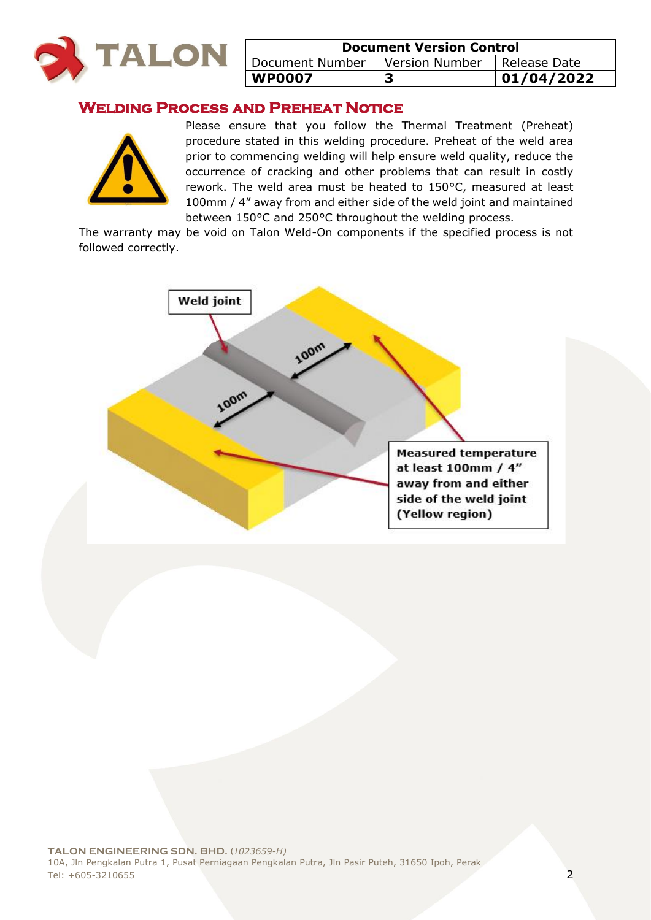

| <b>Document Version Control</b> |                  |              |
|---------------------------------|------------------|--------------|
| Document Number                 | l Version Number | Release Date |
| <b>WP0007</b>                   |                  | 01/04/2022   |

## **Welding Process and Preheat Notice**



Please ensure that you follow the Thermal Treatment (Preheat) procedure stated in this welding procedure. Preheat of the weld area prior to commencing welding will help ensure weld quality, reduce the occurrence of cracking and other problems that can result in costly rework. The weld area must be heated to 150°C, measured at least 100mm / 4" away from and either side of the weld joint and maintained between 150°C and 250°C throughout the welding process.

The warranty may be void on Talon Weld-On components if the specified process is not followed correctly.

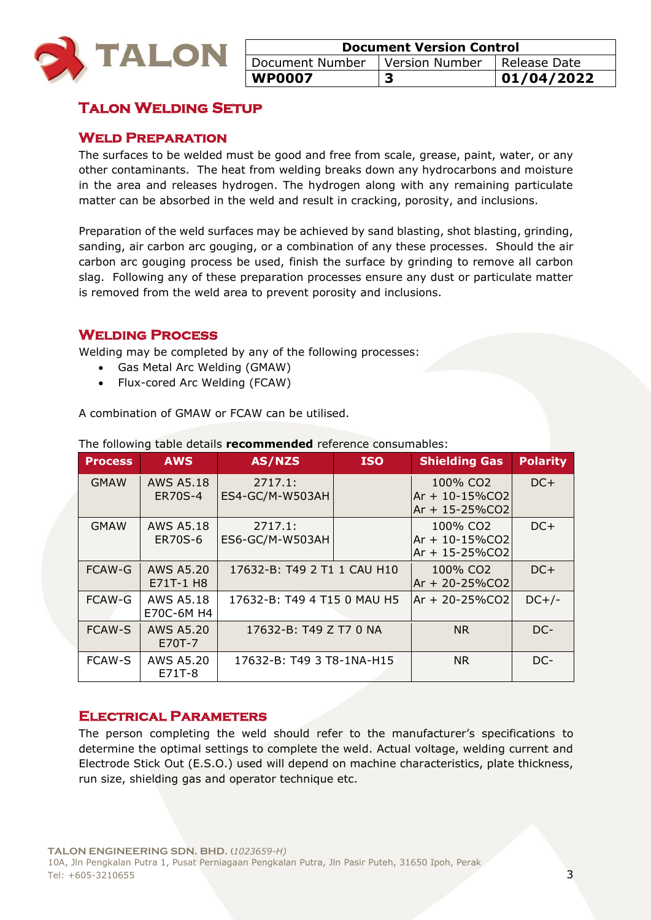

| <b>Document Version Control</b> |                               |             |
|---------------------------------|-------------------------------|-------------|
| Document Number                 | Version Number   Release Date |             |
| <b>WP0007</b>                   |                               | 101/04/2022 |

# **Talon Welding Setup**

## **Weld Preparation**

The surfaces to be welded must be good and free from scale, grease, paint, water, or any other contaminants. The heat from welding breaks down any hydrocarbons and moisture in the area and releases hydrogen. The hydrogen along with any remaining particulate matter can be absorbed in the weld and result in cracking, porosity, and inclusions.

Preparation of the weld surfaces may be achieved by sand blasting, shot blasting, grinding, sanding, air carbon arc gouging, or a combination of any these processes. Should the air carbon arc gouging process be used, finish the surface by grinding to remove all carbon slag. Following any of these preparation processes ensure any dust or particulate matter is removed from the weld area to prevent porosity and inclusions.

## **Welding Process**

Welding may be completed by any of the following processes:

- Gas Metal Arc Welding (GMAW)
- Flux-cored Arc Welding (FCAW)

A combination of GMAW or FCAW can be utilised.

| <b>Process</b> | <b>AWS</b>                         | AS/NZS                      | <b>ISO</b> | <b>Shielding Gas</b>                                               | <b>Polarity</b> |
|----------------|------------------------------------|-----------------------------|------------|--------------------------------------------------------------------|-----------------|
| <b>GMAW</b>    | <b>AWS A5.18</b><br><b>ER70S-4</b> | 2717.1:<br>ES4-GC/M-W503AH  |            | 100% CO2<br>$Ar + 10 - 15\%CO2$<br>Ar + 15-25%CO2                  | $DC+$           |
| <b>GMAW</b>    | <b>AWS A5.18</b><br><b>ER70S-6</b> | 2717.1:<br>ES6-GC/M-W503AH  |            | 100% CO <sub>2</sub><br>$Ar + 10 - 15\%CO2$<br>$Ar + 15 - 25\%CO2$ | $DC+$           |
| FCAW-G         | <b>AWS A5.20</b><br>E71T-1 H8      | 17632-B: T49 2 T1 1 CAU H10 |            | 100% CO <sub>2</sub><br>Ar + 20-25%CO2                             | $DC+$           |
| FCAW-G         | <b>AWS A5.18</b><br>E70C-6M H4     | 17632-B: T49 4 T15 0 MAU H5 |            | $Ar + 20 - 25\%CO2$                                                | $DC+/-$         |
| <b>FCAW-S</b>  | AWS A5.20<br>E70T-7                | 17632-B: T49 Z T7 0 NA      |            | <b>NR</b>                                                          | DC-             |
| <b>FCAW-S</b>  | AWS A5.20<br>E71T-8                | 17632-B: T49 3 T8-1NA-H15   |            | <b>NR</b>                                                          | DC-             |

The following table details **recommended** reference consumables:

## **Electrical Parameters**

The person completing the weld should refer to the manufacturer's specifications to determine the optimal settings to complete the weld. Actual voltage, welding current and Electrode Stick Out (E.S.O.) used will depend on machine characteristics, plate thickness, run size, shielding gas and operator technique etc.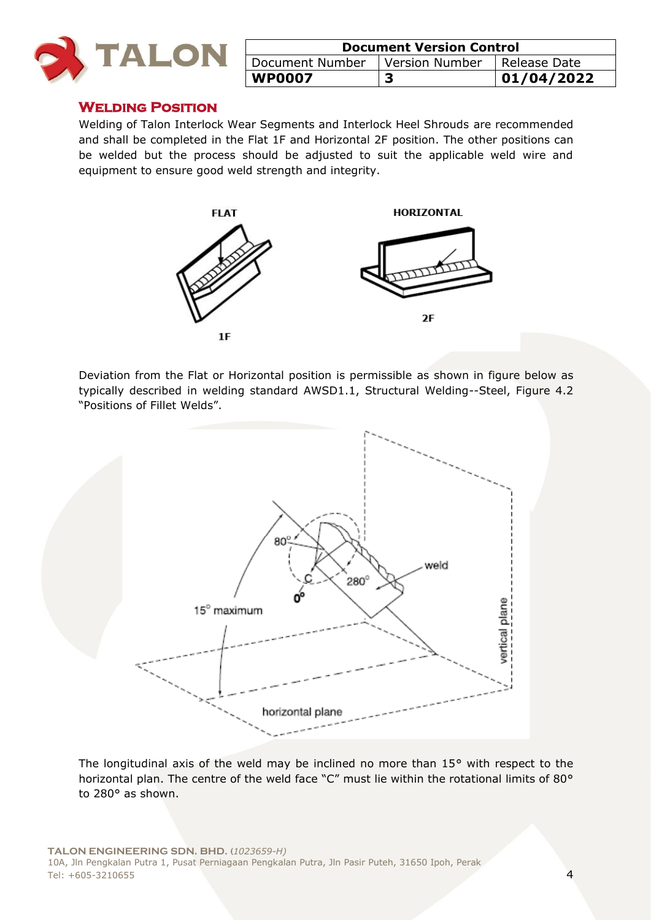

| <b>Document Version Control</b> |                |                |
|---------------------------------|----------------|----------------|
| Document Number                 | Version Number | I Release Date |
| <b>WP0007</b>                   |                | 01/04/2022     |

#### **Welding Position**

Welding of Talon Interlock Wear Segments and Interlock Heel Shrouds are recommended and shall be completed in the Flat 1F and Horizontal 2F position. The other positions can be welded but the process should be adjusted to suit the applicable weld wire and equipment to ensure good weld strength and integrity.



Deviation from the Flat or Horizontal position is permissible as shown in figure below as typically described in welding standard AWSD1.1, Structural Welding--Steel, Figure 4.2 "Positions of Fillet Welds".



The longitudinal axis of the weld may be inclined no more than 15° with respect to the horizontal plan. The centre of the weld face "C" must lie within the rotational limits of 80° to 280° as shown.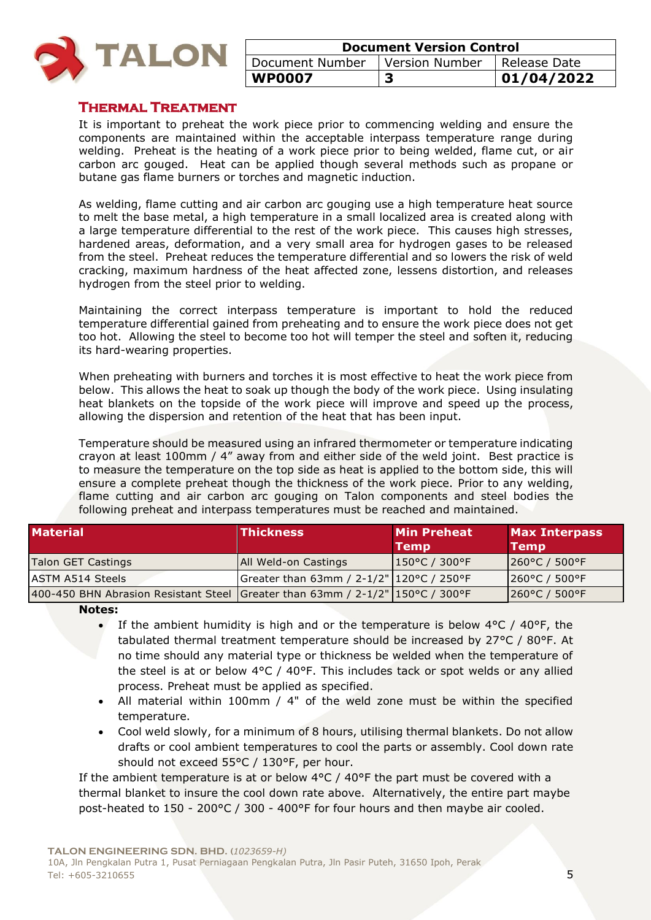

| <b>Document Version Control</b>                 |  |            |
|-------------------------------------------------|--|------------|
| Document Number   Version Number   Release Date |  |            |
| WP0007                                          |  | 01/04/2022 |

## **Thermal Treatment**

It is important to preheat the work piece prior to commencing welding and ensure the components are maintained within the acceptable interpass temperature range during welding. Preheat is the heating of a work piece prior to being welded, flame cut, or air carbon arc gouged. Heat can be applied though several methods such as propane or butane gas flame burners or torches and magnetic induction.

As welding, flame cutting and air carbon arc gouging use a high temperature heat source to melt the base metal, a high temperature in a small localized area is created along with a large temperature differential to the rest of the work piece. This causes high stresses, hardened areas, deformation, and a very small area for hydrogen gases to be released from the steel. Preheat reduces the temperature differential and so lowers the risk of weld cracking, maximum hardness of the heat affected zone, lessens distortion, and releases hydrogen from the steel prior to welding.

Maintaining the correct interpass temperature is important to hold the reduced temperature differential gained from preheating and to ensure the work piece does not get too hot. Allowing the steel to become too hot will temper the steel and soften it, reducing its hard-wearing properties.

When preheating with burners and torches it is most effective to heat the work piece from below. This allows the heat to soak up though the body of the work piece. Using insulating heat blankets on the topside of the work piece will improve and speed up the process, allowing the dispersion and retention of the heat that has been input.

Temperature should be measured using an infrared thermometer or temperature indicating crayon at least 100mm / 4" away from and either side of the weld joint. Best practice is to measure the temperature on the top side as heat is applied to the bottom side, this will ensure a complete preheat though the thickness of the work piece. Prior to any welding, flame cutting and air carbon arc gouging on Talon components and steel bodies the following preheat and interpass temperatures must be reached and maintained.

| <b>Material</b>                                                                  | <b>Thickness</b>                             | <b>Min Preheat</b><br>Temp | <b>Max Interpass</b><br><b>Temp</b> |
|----------------------------------------------------------------------------------|----------------------------------------------|----------------------------|-------------------------------------|
| Talon GET Castings                                                               | <b>All Weld-on Castings</b>                  | $ 150^{\circ}$ C / 300°F   | $ 260^{\circ}$ C / 500°F            |
| ASTM A514 Steels                                                                 | Greater than 63mm / 2-1/2"   120 °C / 250 °F |                            | $1260^{\circ}$ C / 500 $^{\circ}$ F |
| 400-450 BHN Abrasion Resistant Steel Greater than 63mm / $2-1/2$ " 150°C / 300°F |                                              |                            | 260°C / 500°F                       |

**Notes:** 

- If the ambient humidity is high and or the temperature is below  $4^{\circ}$ C /  $40^{\circ}$ F, the tabulated thermal treatment temperature should be increased by 27°C / 80°F. At no time should any material type or thickness be welded when the temperature of the steel is at or below  $4^{\circ}C$  /  $40^{\circ}F$ . This includes tack or spot welds or any allied process. Preheat must be applied as specified.
- All material within 100mm / 4" of the weld zone must be within the specified temperature.
- Cool weld slowly, for a minimum of 8 hours, utilising thermal blankets. Do not allow drafts or cool ambient temperatures to cool the parts or assembly. Cool down rate should not exceed 55°C / 130°F, per hour.

If the ambient temperature is at or below  $4^{\circ}$ C /  $40^{\circ}$ F the part must be covered with a thermal blanket to insure the cool down rate above. Alternatively, the entire part maybe post-heated to 150 - 200°C / 300 - 400°F for four hours and then maybe air cooled.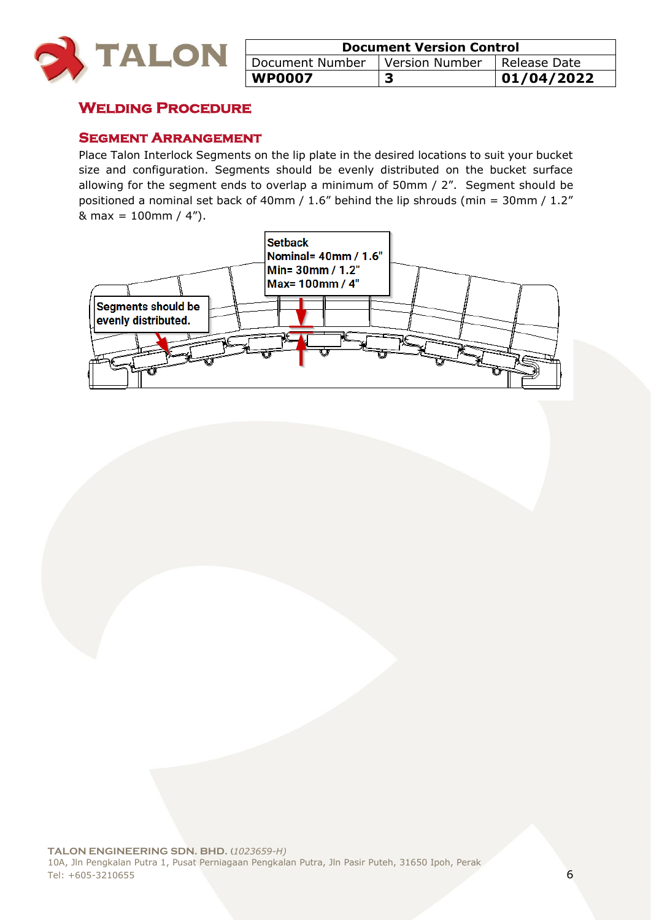

| <b>Document Version Control</b> |                               |            |
|---------------------------------|-------------------------------|------------|
| Document Number                 | Version Number   Release Date |            |
| <b>WP0007</b>                   |                               | 01/04/2022 |

# **Welding Procedure**

#### **Segment Arrangement**

Place Talon Interlock Segments on the lip plate in the desired locations to suit your bucket size and configuration. Segments should be evenly distributed on the bucket surface allowing for the segment ends to overlap a minimum of 50mm / 2". Segment should be positioned a nominal set back of 40mm /  $1.6$ " behind the lip shrouds (min = 30mm /  $1.2$ "  $& max = 100 \, \text{mm} / 4$ ").

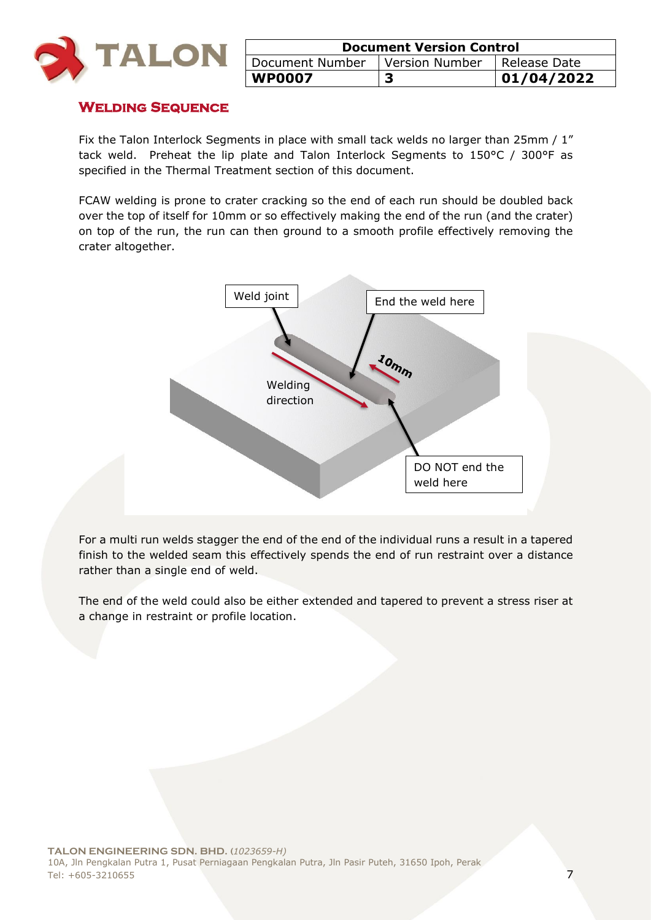

| <b>Document Version Control</b> |                |              |
|---------------------------------|----------------|--------------|
| Document Number                 | Version Number | Release Date |
| <b>WP0007</b>                   |                | 1/04/2022    |

#### **Welding Sequence**

Fix the Talon Interlock Segments in place with small tack welds no larger than 25mm / 1" tack weld. Preheat the lip plate and Talon Interlock Segments to 150°C / 300°F as specified in the Thermal Treatment section of this document.

FCAW welding is prone to crater cracking so the end of each run should be doubled back over the top of itself for 10mm or so effectively making the end of the run (and the crater) on top of the run, the run can then ground to a smooth profile effectively removing the crater altogether.



For a multi run welds stagger the end of the end of the individual runs a result in a tapered finish to the welded seam this effectively spends the end of run restraint over a distance rather than a single end of weld.

The end of the weld could also be either extended and tapered to prevent a stress riser at a change in restraint or profile location.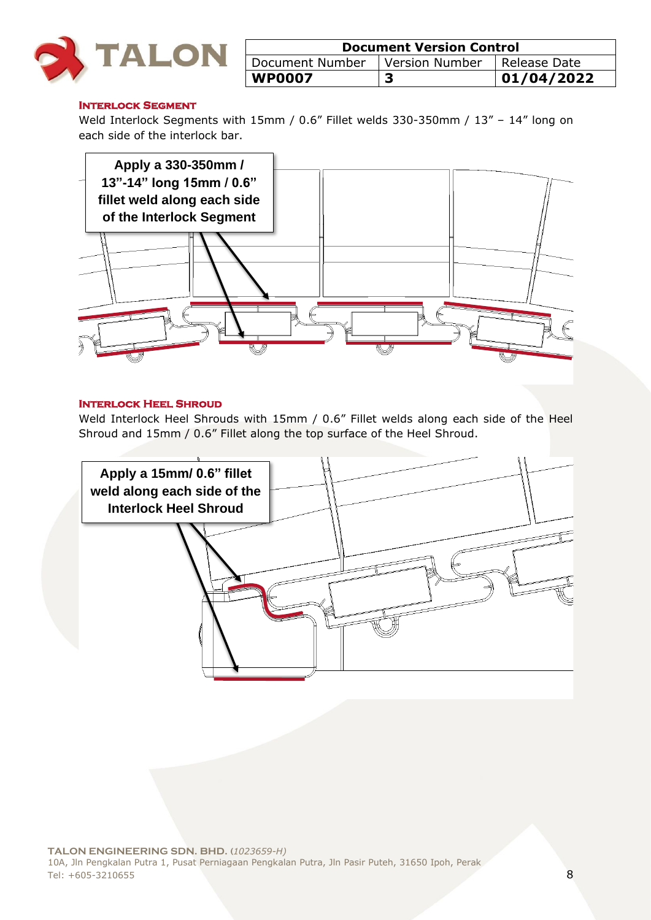

| <b>Document Version Control</b> |                               |            |
|---------------------------------|-------------------------------|------------|
| Document Number                 | Version Number   Release Date |            |
| <b>WP0007</b>                   |                               | 01/04/2022 |

#### **INTERLOCK SEGMENT**

Weld Interlock Segments with 15mm / 0.6" Fillet welds 330-350mm / 13" – 14" long on each side of the interlock bar.



#### **Interlock Heel Shroud**

Weld Interlock Heel Shrouds with 15mm / 0.6" Fillet welds along each side of the Heel Shroud and 15mm / 0.6" Fillet along the top surface of the Heel Shroud.

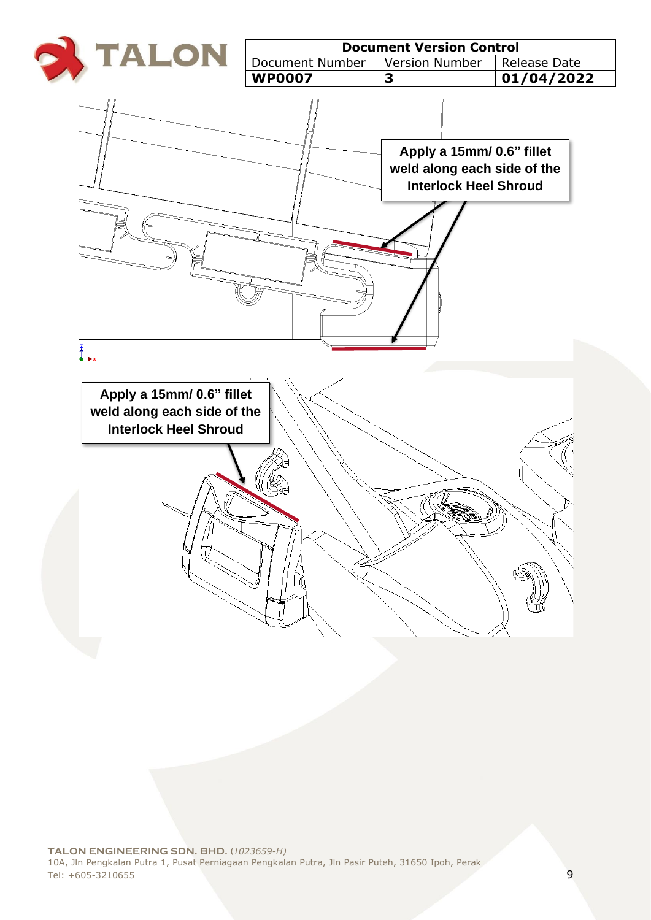